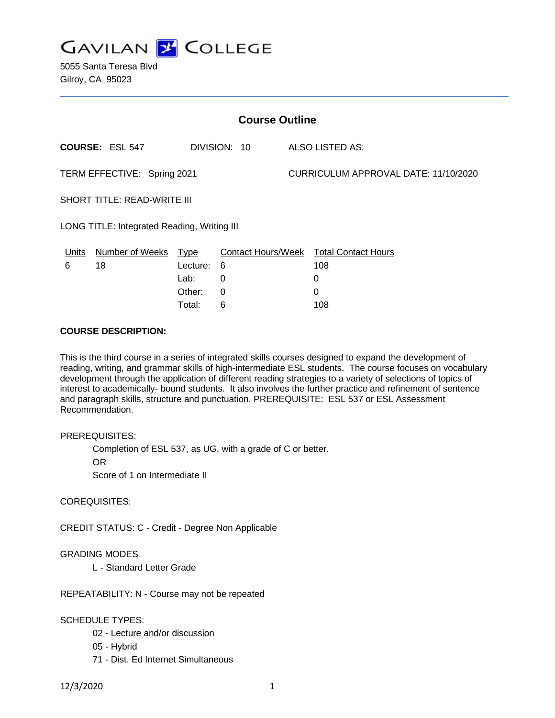

5055 Santa Teresa Blvd Gilroy, CA 95023

| <b>Course Outline</b>                       |                        |            |                           |                                      |                            |
|---------------------------------------------|------------------------|------------|---------------------------|--------------------------------------|----------------------------|
|                                             | <b>COURSE: ESL 547</b> |            | DIVISION: 10              |                                      | ALSO LISTED AS:            |
| TERM EFFECTIVE: Spring 2021                 |                        |            |                           | CURRICULUM APPROVAL DATE: 11/10/2020 |                            |
| <b>SHORT TITLE: READ-WRITE III</b>          |                        |            |                           |                                      |                            |
| LONG TITLE: Integrated Reading, Writing III |                        |            |                           |                                      |                            |
| Units                                       | Number of Weeks Type   |            | <b>Contact Hours/Week</b> |                                      | <b>Total Contact Hours</b> |
| 6                                           | 18                     | Lecture: 6 |                           |                                      | 108                        |
|                                             |                        | Lab:       | 0                         |                                      | 0                          |

Other: 0 0 Total: 6 108

### **COURSE DESCRIPTION:**

This is the third course in a series of integrated skills courses designed to expand the development of reading, writing, and grammar skills of high-intermediate ESL students. The course focuses on vocabulary development through the application of different reading strategies to a variety of selections of topics of interest to academically- bound students. It also involves the further practice and refinement of sentence and paragraph skills, structure and punctuation. PREREQUISITE: ESL 537 or ESL Assessment Recommendation.

### PREREQUISITES:

Completion of ESL 537, as UG, with a grade of C or better.

OR

Score of 1 on Intermediate II

## COREQUISITES:

CREDIT STATUS: C - Credit - Degree Non Applicable

### GRADING MODES

L - Standard Letter Grade

REPEATABILITY: N - Course may not be repeated

### SCHEDULE TYPES:

- 02 Lecture and/or discussion
- 05 Hybrid
- 71 Dist. Ed Internet Simultaneous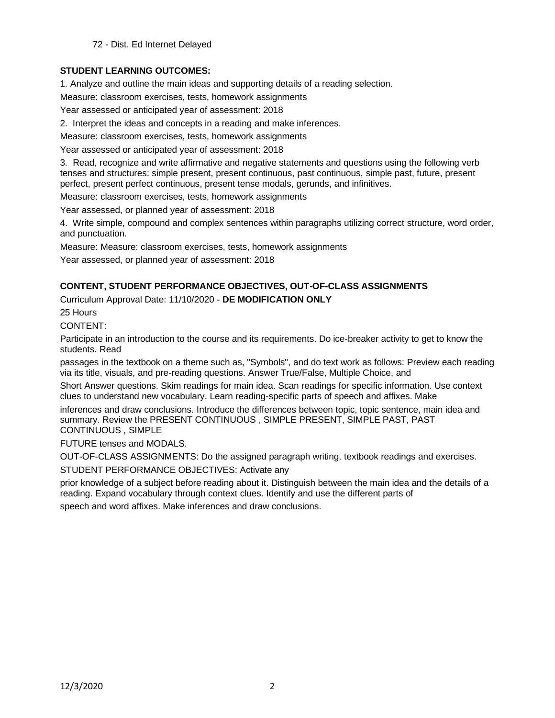72 - Dist. Ed Internet Delayed

# **STUDENT LEARNING OUTCOMES:**

1. Analyze and outline the main ideas and supporting details of a reading selection.

Measure: classroom exercises, tests, homework assignments

Year assessed or anticipated year of assessment: 2018

2. Interpret the ideas and concepts in a reading and make inferences.

Measure: classroom exercises, tests, homework assignments

Year assessed or anticipated year of assessment: 2018

3. Read, recognize and write affirmative and negative statements and questions using the following verb tenses and structures: simple present, present continuous, past continuous, simple past, future, present perfect, present perfect continuous, present tense modals, gerunds, and infinitives.

Measure: classroom exercises, tests, homework assignments

Year assessed, or planned year of assessment: 2018

4. Write simple, compound and complex sentences within paragraphs utilizing correct structure, word order, and punctuation.

Measure: Measure: classroom exercises, tests, homework assignments

Year assessed, or planned year of assessment: 2018

## **CONTENT, STUDENT PERFORMANCE OBJECTIVES, OUT-OF-CLASS ASSIGNMENTS**

Curriculum Approval Date: 11/10/2020 - **DE MODIFICATION ONLY**

25 Hours

CONTENT:

Participate in an introduction to the course and its requirements. Do ice-breaker activity to get to know the students. Read

passages in the textbook on a theme such as, "Symbols", and do text work as follows: Preview each reading via its title, visuals, and pre-reading questions. Answer True/False, Multiple Choice, and

Short Answer questions. Skim readings for main idea. Scan readings for specific information. Use context clues to understand new vocabulary. Learn reading-specific parts of speech and affixes. Make

inferences and draw conclusions. Introduce the differences between topic, topic sentence, main idea and summary. Review the PRESENT CONTINUOUS , SIMPLE PRESENT, SIMPLE PAST, PAST CONTINUOUS , SIMPLE

FUTURE tenses and MODALS.

OUT-OF-CLASS ASSIGNMENTS: Do the assigned paragraph writing, textbook readings and exercises.

STUDENT PERFORMANCE OBJECTIVES: Activate any

prior knowledge of a subject before reading about it. Distinguish between the main idea and the details of a reading. Expand vocabulary through context clues. Identify and use the different parts of

speech and word affixes. Make inferences and draw conclusions.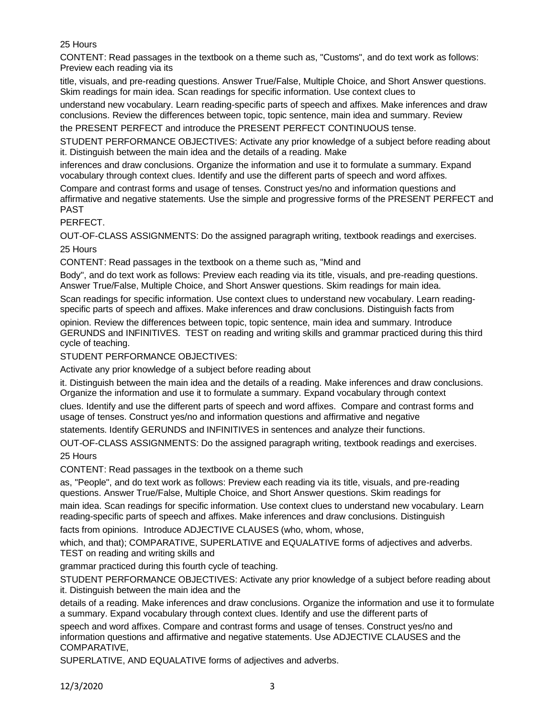# 25 Hours

CONTENT: Read passages in the textbook on a theme such as, "Customs", and do text work as follows: Preview each reading via its

title, visuals, and pre-reading questions. Answer True/False, Multiple Choice, and Short Answer questions. Skim readings for main idea. Scan readings for specific information. Use context clues to

understand new vocabulary. Learn reading-specific parts of speech and affixes. Make inferences and draw conclusions. Review the differences between topic, topic sentence, main idea and summary. Review

the PRESENT PERFECT and introduce the PRESENT PERFECT CONTINUOUS tense.

STUDENT PERFORMANCE OBJECTIVES: Activate any prior knowledge of a subject before reading about it. Distinguish between the main idea and the details of a reading. Make

inferences and draw conclusions. Organize the information and use it to formulate a summary. Expand vocabulary through context clues. Identify and use the different parts of speech and word affixes.

Compare and contrast forms and usage of tenses. Construct yes/no and information questions and affirmative and negative statements. Use the simple and progressive forms of the PRESENT PERFECT and PAST

PERFECT.

OUT-OF-CLASS ASSIGNMENTS: Do the assigned paragraph writing, textbook readings and exercises.

25 Hours

CONTENT: Read passages in the textbook on a theme such as, "Mind and

Body", and do text work as follows: Preview each reading via its title, visuals, and pre-reading questions. Answer True/False, Multiple Choice, and Short Answer questions. Skim readings for main idea.

Scan readings for specific information. Use context clues to understand new vocabulary. Learn readingspecific parts of speech and affixes. Make inferences and draw conclusions. Distinguish facts from

opinion. Review the differences between topic, topic sentence, main idea and summary. Introduce GERUNDS and INFINITIVES. TEST on reading and writing skills and grammar practiced during this third cycle of teaching.

STUDENT PERFORMANCE OBJECTIVES:

Activate any prior knowledge of a subject before reading about

it. Distinguish between the main idea and the details of a reading. Make inferences and draw conclusions. Organize the information and use it to formulate a summary. Expand vocabulary through context

clues. Identify and use the different parts of speech and word affixes. Compare and contrast forms and usage of tenses. Construct yes/no and information questions and affirmative and negative

statements. Identify GERUNDS and INFINITIVES in sentences and analyze their functions.

OUT-OF-CLASS ASSIGNMENTS: Do the assigned paragraph writing, textbook readings and exercises.

25 Hours

CONTENT: Read passages in the textbook on a theme such

as, "People", and do text work as follows: Preview each reading via its title, visuals, and pre-reading questions. Answer True/False, Multiple Choice, and Short Answer questions. Skim readings for

main idea. Scan readings for specific information. Use context clues to understand new vocabulary. Learn reading-specific parts of speech and affixes. Make inferences and draw conclusions. Distinguish

facts from opinions. Introduce ADJECTIVE CLAUSES (who, whom, whose,

which, and that); COMPARATIVE, SUPERLATIVE and EQUALATIVE forms of adjectives and adverbs. TEST on reading and writing skills and

grammar practiced during this fourth cycle of teaching.

STUDENT PERFORMANCE OBJECTIVES: Activate any prior knowledge of a subject before reading about it. Distinguish between the main idea and the

details of a reading. Make inferences and draw conclusions. Organize the information and use it to formulate a summary. Expand vocabulary through context clues. Identify and use the different parts of

speech and word affixes. Compare and contrast forms and usage of tenses. Construct yes/no and information questions and affirmative and negative statements. Use ADJECTIVE CLAUSES and the COMPARATIVE,

SUPERLATIVE, AND EQUALATIVE forms of adjectives and adverbs.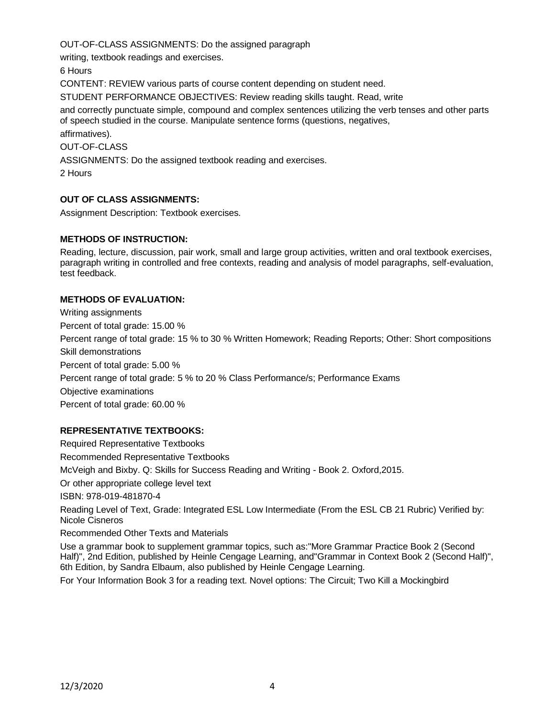OUT-OF-CLASS ASSIGNMENTS: Do the assigned paragraph

writing, textbook readings and exercises.

6 Hours

CONTENT: REVIEW various parts of course content depending on student need.

STUDENT PERFORMANCE OBJECTIVES: Review reading skills taught. Read, write

and correctly punctuate simple, compound and complex sentences utilizing the verb tenses and other parts of speech studied in the course. Manipulate sentence forms (questions, negatives, affirmatives).

OUT-OF-CLASS

ASSIGNMENTS: Do the assigned textbook reading and exercises.

2 Hours

## **OUT OF CLASS ASSIGNMENTS:**

Assignment Description: Textbook exercises.

## **METHODS OF INSTRUCTION:**

Reading, lecture, discussion, pair work, small and large group activities, written and oral textbook exercises, paragraph writing in controlled and free contexts, reading and analysis of model paragraphs, self-evaluation, test feedback.

## **METHODS OF EVALUATION:**

Writing assignments Percent of total grade: 15.00 % Percent range of total grade: 15 % to 30 % Written Homework; Reading Reports; Other: Short compositions Skill demonstrations Percent of total grade: 5.00 % Percent range of total grade: 5 % to 20 % Class Performance/s; Performance Exams Objective examinations Percent of total grade: 60.00 %

## **REPRESENTATIVE TEXTBOOKS:**

Required Representative Textbooks Recommended Representative Textbooks McVeigh and Bixby. Q: Skills for Success Reading and Writing - Book 2. Oxford,2015. Or other appropriate college level text ISBN: 978-019-481870-4 Reading Level of Text, Grade: Integrated ESL Low Intermediate (From the ESL CB 21 Rubric) Verified by: Nicole Cisneros Recommended Other Texts and Materials Use a grammar book to supplement grammar topics, such as:"More Grammar Practice Book 2 (Second Half)", 2nd Edition, published by Heinle Cengage Learning, and"Grammar in Context Book 2 (Second Half)", 6th Edition, by Sandra Elbaum, also published by Heinle Cengage Learning.

For Your Information Book 3 for a reading text. Novel options: The Circuit; Two Kill a Mockingbird